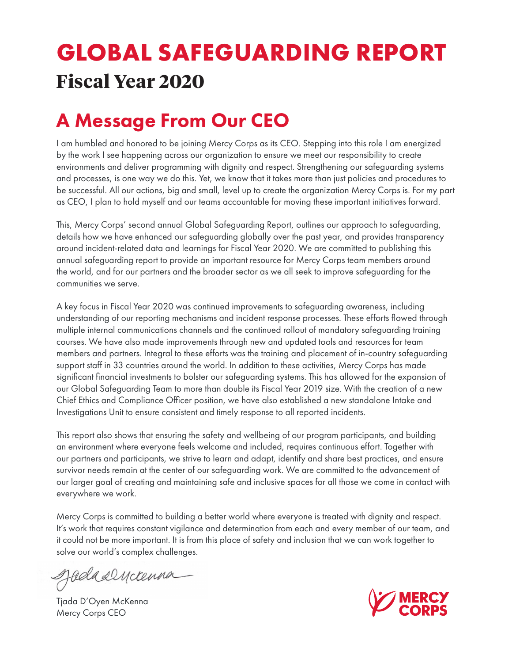# **GLOBAL SAFEGUARDING REPORT Fiscal Year 2020**

## A Message From Our CEO

I am humbled and honored to be joining Mercy Corps as its CEO. Stepping into this role I am energized by the work I see happening across our organization to ensure we meet our responsibility to create environments and deliver programming with dignity and respect. Strengthening our safeguarding systems and processes, is one way we do this. Yet, we know that it takes more than just policies and procedures to be successful. All our actions, big and small, level up to create the organization Mercy Corps is. For my part as CEO, I plan to hold myself and our teams accountable for moving these important initiatives forward.

This, Mercy Corps' second annual Global Safeguarding Report, outlines our approach to safeguarding, details how we have enhanced our safeguarding globally over the past year, and provides transparency around incident-related data and learnings for Fiscal Year 2020. We are committed to publishing this annual safeguarding report to provide an important resource for Mercy Corps team members around the world, and for our partners and the broader sector as we all seek to improve safeguarding for the communities we serve.

A key focus in Fiscal Year 2020 was continued improvements to safeguarding awareness, including understanding of our reporting mechanisms and incident response processes. These efforts flowed through multiple internal communications channels and the continued rollout of mandatory safeguarding training courses. We have also made improvements through new and updated tools and resources for team members and partners. Integral to these efforts was the training and placement of in-country safeguarding support staff in 33 countries around the world. In addition to these activities, Mercy Corps has made significant financial investments to bolster our safeguarding systems. This has allowed for the expansion of our Global Safeguarding Team to more than double its Fiscal Year 2019 size. With the creation of a new Chief Ethics and Compliance Officer position, we have also established a new standalone Intake and Investigations Unit to ensure consistent and timely response to all reported incidents.

This report also shows that ensuring the safety and wellbeing of our program participants, and building an environment where everyone feels welcome and included, requires continuous effort. Together with our partners and participants, we strive to learn and adapt, identify and share best practices, and ensure survivor needs remain at the center of our safeguarding work. We are committed to the advancement of our larger goal of creating and maintaining safe and inclusive spaces for all those we come in contact with everywhere we work.

Mercy Corps is committed to building a better world where everyone is treated with dignity and respect. It's work that requires constant vigilance and determination from each and every member of our team, and it could not be more important. It is from this place of safety and inclusion that we can work together to solve our world's complex challenges.

Jadasencenna

Tjada D'Oyen McKenna Mercy Corps CEO

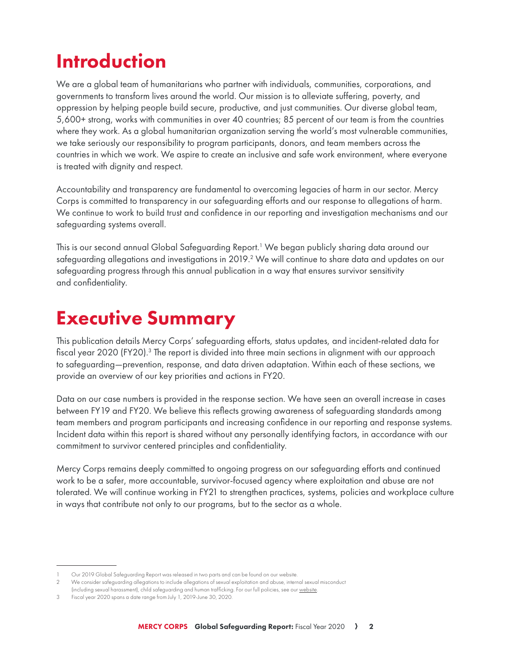## Introduction

We are a global team of humanitarians who partner with individuals, communities, corporations, and governments to transform lives around the world. Our mission is to alleviate suffering, poverty, and oppression by helping people build secure, productive, and just communities. Our diverse global team, 5,600+ strong, works with communities in over 40 countries; 85 percent of our team is from the countries where they work. As a global humanitarian organization serving the world's most vulnerable communities, we take seriously our responsibility to program participants, donors, and team members across the countries in which we work. We aspire to create an inclusive and safe work environment, where everyone is treated with dignity and respect.

Accountability and transparency are fundamental to overcoming legacies of harm in our sector. Mercy Corps is committed to transparency in our safeguarding efforts and our response to allegations of harm. We continue to work to build trust and confidence in our reporting and investigation mechanisms and our safeguarding systems overall.

This is our second annual Global Safeguarding Report.<sup>1</sup> We began publicly sharing data around our safeguarding allegations and investigations in 2019. $^{\rm 2}$  We will continue to share data and updates on our safeguarding progress through this annual publication in a way that ensures survivor sensitivity and confidentiality.

### Executive Summary

This publication details Mercy Corps' safeguarding efforts, status updates, and incident-related data for fiscal year 2020 (FY20).<sup>3</sup> The report is divided into three main sections in alignment with our approach to safeguarding—prevention, response, and data driven adaptation. Within each of these sections, we provide an overview of our key priorities and actions in FY20.

Data on our case numbers is provided in the response section. We have seen an overall increase in cases between FY19 and FY20. We believe this reflects growing awareness of safeguarding standards among team members and program participants and increasing confidence in our reporting and response systems. Incident data within this report is shared without any personally identifying factors, in accordance with our commitment to survivor centered principles and confidentiality.

Mercy Corps remains deeply committed to ongoing progress on our safeguarding efforts and continued work to be a safer, more accountable, survivor-focused agency where exploitation and abuse are not tolerated. We will continue working in FY21 to strengthen practices, systems, policies and workplace culture in ways that contribute not only to our programs, but to the sector as a whole.

Our 2019 Global Safeguarding Report was released in two parts and can be found on our website.

<sup>2</sup> We consider safeguarding allegations to include allegations of sexual exploitation and abuse, internal sexual misconduct (including sexual harassment), child safeguarding and human trafficking. For our full policies, see our website.

<sup>3</sup> Fiscal year 2020 spans a date range from July 1, 2019-June 30, 2020.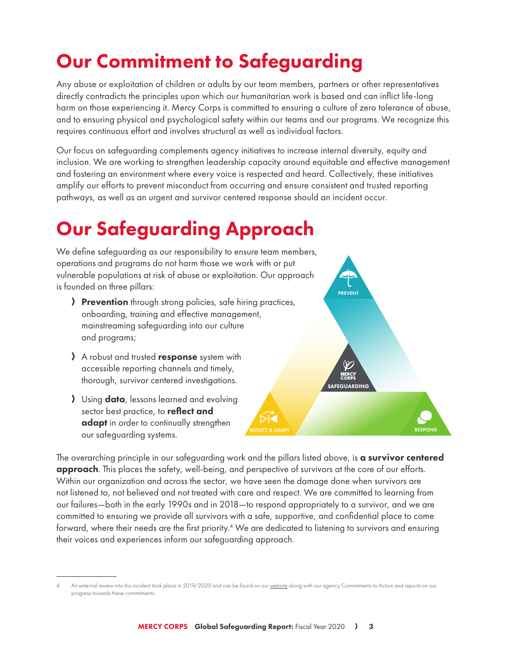# Our Commitment to Safeguarding

Any abuse or exploitation of children or adults by our team members, partners or other representatives directly contradicts the principles upon which our humanitarian work is based and can inflict life-long harm on those experiencing it. Mercy Corps is committed to ensuring a culture of zero tolerance of abuse, and to ensuring physical and psychological safety within our teams and our programs. We recognize this requires continuous effort and involves structural as well as individual factors.

Our focus on safeguarding complements agency initiatives to increase internal diversity, equity and inclusion. We are working to strengthen leadership capacity around equitable and effective management and fostering an environment where every voice is respected and heard. Collectively, these initiatives amplify our efforts to prevent misconduct from occurring and ensure consistent and trusted reporting pathways, as well as an urgent and survivor centered response should an incident occur.

# Our Safeguarding Approach

We define safeguarding as our responsibility to ensure team members, operations and programs do not harm those we work with or put vulnerable populations at risk of abuse or exploitation. Our approach is founded on three pillars:

- **Prevention** through strong policies, safe hiring practices, onboarding, training and effective management, mainstreaming safeguarding into our culture and programs;
- A robust and trusted **response** system with accessible reporting channels and timely, thorough, survivor centered investigations.
- **A** Using **data**, lessons learned and evolving sector best practice, to reflect and adapt in order to continually strengthen our safeguarding systems.



The overarching principle in our safeguarding work and the pillars listed above, is **a survivor centered approach**. This places the safety, well-being, and perspective of survivors at the core of our efforts. Within our organization and across the sector, we have seen the damage done when survivors are not listened to, not believed and not treated with care and respect. We are committed to learning from our failures—both in the early 1990s and in 2018—to respond appropriately to a survivor, and we are committed to ensuring we provide all survivors with a safe, supportive, and confidential place to come forward, where their needs are the first priority.<sup>4</sup> We are dedicated to listening to survivors and ensuring their voices and experiences inform our safeguarding approach.

An external review into this incident took place in 2019/2020 and can be found on our website along with our agency Commitments to Action and reports on our progress towards these commitments.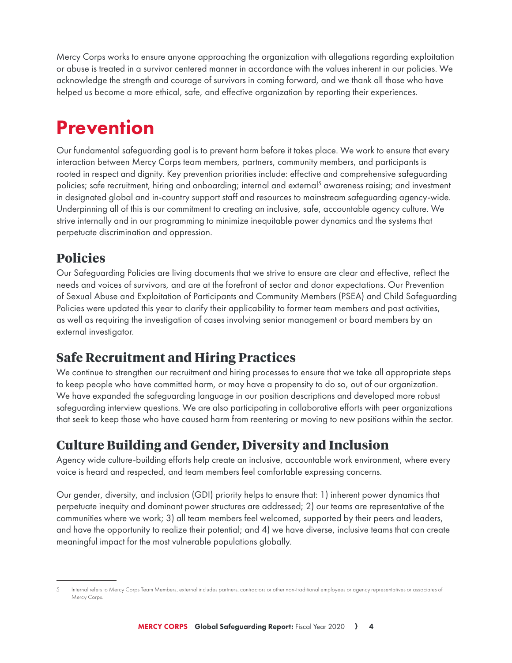Mercy Corps works to ensure anyone approaching the organization with allegations regarding exploitation or abuse is treated in a survivor centered manner in accordance with the values inherent in our policies. We acknowledge the strength and courage of survivors in coming forward, and we thank all those who have helped us become a more ethical, safe, and effective organization by reporting their experiences.

## **Prevention**

Our fundamental safeguarding goal is to prevent harm before it takes place. We work to ensure that every interaction between Mercy Corps team members, partners, community members, and participants is rooted in respect and dignity. Key prevention priorities include: effective and comprehensive safeguarding policies; safe recruitment, hiring and onboarding; internal and external<sup>5</sup> awareness raising; and investment in designated global and in-country support staff and resources to mainstream safeguarding agency-wide. Underpinning all of this is our commitment to creating an inclusive, safe, accountable agency culture. We strive internally and in our programming to minimize inequitable power dynamics and the systems that perpetuate discrimination and oppression.

### **Policies**

Our Safeguarding Policies are living documents that we strive to ensure are clear and effective, reflect the needs and voices of survivors, and are at the forefront of sector and donor expectations. Our Prevention of Sexual Abuse and Exploitation of Participants and Community Members (PSEA) and Child Safeguarding Policies were updated this year to clarify their applicability to former team members and past activities, as well as requiring the investigation of cases involving senior management or board members by an external investigator.

### **Safe Recruitment and Hiring Practices**

We continue to strengthen our recruitment and hiring processes to ensure that we take all appropriate steps to keep people who have committed harm, or may have a propensity to do so, out of our organization. We have expanded the safeguarding language in our position descriptions and developed more robust safeguarding interview questions. We are also participating in collaborative efforts with peer organizations that seek to keep those who have caused harm from reentering or moving to new positions within the sector.

### **Culture Building and Gender, Diversity and Inclusion**

Agency wide culture-building efforts help create an inclusive, accountable work environment, where every voice is heard and respected, and team members feel comfortable expressing concerns.

Our gender, diversity, and inclusion (GDI) priority helps to ensure that: 1) inherent power dynamics that perpetuate inequity and dominant power structures are addressed; 2) our teams are representative of the communities where we work; 3) all team members feel welcomed, supported by their peers and leaders, and have the opportunity to realize their potential; and 4) we have diverse, inclusive teams that can create meaningful impact for the most vulnerable populations globally.

<sup>5</sup> Internal refers to Mercy Corps Team Members, external includes partners, contractors or other non-traditional employees or agency representatives or associates of Mercy Corps.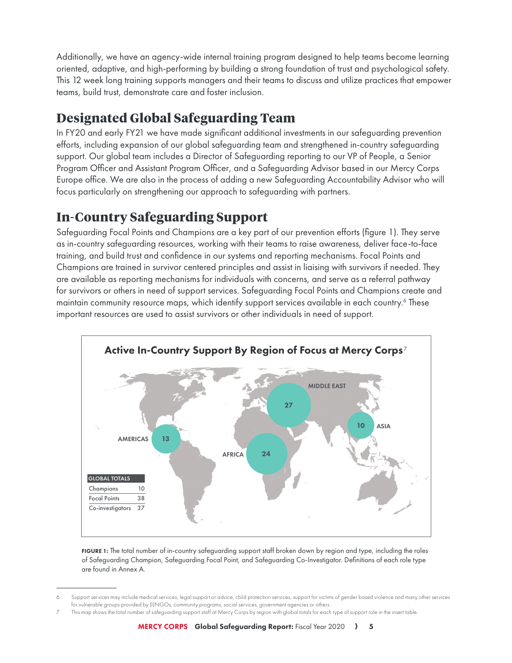Additionally, we have an agency-wide internal training program designed to help teams become learning oriented, adaptive, and high-performing by building a strong foundation of trust and psychological safety. This 12 week long training supports managers and their teams to discuss and utilize practices that empower teams, build trust, demonstrate care and foster inclusion.

### **Designated Global Safeguarding Team**

In FY20 and early FY21 we have made significant additional investments in our safeguarding prevention efforts, including expansion of our global safeguarding team and strengthened in-country safeguarding support. Our global team includes a Director of Safeguarding reporting to our VP of People, a Senior Program Officer and Assistant Program Officer, and a Safeguarding Advisor based in our Mercy Corps Europe office. We are also in the process of adding a new Safeguarding Accountability Advisor who will focus particularly on strengthening our approach to safeguarding with partners.

### **In-Country Safeguarding Support**

Safeguarding Focal Points and Champions are a key part of our prevention efforts (figure 1). They serve as in-country safeguarding resources, working with their teams to raise awareness, deliver face-to-face training, and build trust and confidence in our systems and reporting mechanisms. Focal Points and Champions are trained in survivor centered principles and assist in liaising with survivors if needed. They are available as reporting mechanisms for individuals with concerns, and serve as a referral pathway for survivors or others in need of support services. Safeguarding Focal Points and Champions create and maintain community resource maps, which identify support services available in each country.<sup>6</sup> These important resources are used to assist survivors or other individuals in need of support.



FIGURE 1: The total number of in-country safeguarding support staff broken down by region and type, including the roles of Safeguarding Champion, Safeguarding Focal Point, and Safeguarding Co-Investigator. Definitions of each role type are found in Annex A.

Support services may include medical services, legal support or advice, child protection services, support for victims of gender based violence and many other services for vulnerable groups provided by (I)NGOs, community programs, social services, government agencies or others.

<sup>7</sup> This map shows the total number of safeguarding support staff at Mercy Corps by region with global totals for each type of support role in the insert table.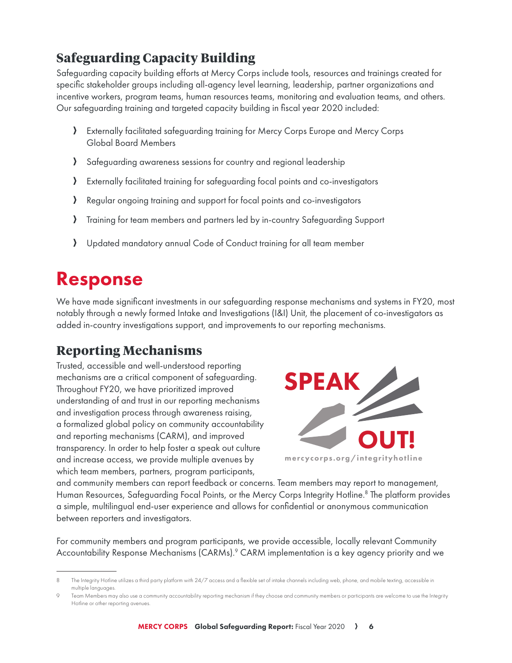### **Safeguarding Capacity Building**

Safeguarding capacity building efforts at Mercy Corps include tools, resources and trainings created for specific stakeholder groups including all-agency level learning, leadership, partner organizations and incentive workers, program teams, human resources teams, monitoring and evaluation teams, and others. Our safeguarding training and targeted capacity building in fiscal year 2020 included:

- A Externally facilitated safeguarding training for Mercy Corps Europe and Mercy Corps Global Board Members
- A Safeguarding awareness sessions for country and regional leadership
- A Externally facilitated training for safeguarding focal points and co-investigators
- A Regular ongoing training and support for focal points and co-investigators
- A Training for team members and partners led by in-country Safeguarding Support
- A Updated mandatory annual Code of Conduct training for all team member

### Response

We have made significant investments in our safeguarding response mechanisms and systems in FY20, most notably through a newly formed Intake and Investigations (I&I) Unit, the placement of co-investigators as added in-country investigations support, and improvements to our reporting mechanisms.

#### **Reporting Mechanisms**

Trusted, accessible and well-understood reporting mechanisms are a critical component of safeguarding. Throughout FY20, we have prioritized improved understanding of and trust in our reporting mechanisms and investigation process through awareness raising, a formalized global policy on community accountability and reporting mechanisms (CARM), and improved transparency. In order to help foster a speak out culture and increase access, we provide multiple avenues by which team members, partners, program participants,



and community members can report feedback or concerns. Team members may report to management, Human Resources, Safeguarding Focal Points, or the Mercy Corps Integrity Hotline.<sup>8</sup> The platform provides a simple, multilingual end-user experience and allows for confidential or anonymous communication between reporters and investigators.

For community members and program participants, we provide accessible, locally relevant Community Accountability Response Mechanisms (CARMs).<sup>9</sup> CARM implementation is a key agency priority and we

The Integrity Hotline utilizes a third party platform with 24/7 access and a flexible set of intake channels including web, phone, and mobile texting, accessible in multiple languages.

Team Members may also use a community accountability reporting mechanism if they choose and community members or participants are welcome to use the Integrity Hotline or other reporting avenues.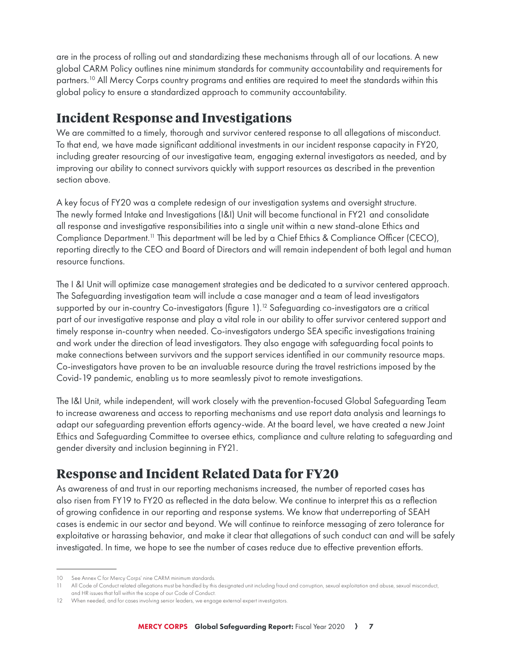are in the process of rolling out and standardizing these mechanisms through all of our locations. A new global CARM Policy outlines nine minimum standards for community accountability and requirements for partners.<sup>10</sup> All Mercy Corps country programs and entities are required to meet the standards within this global policy to ensure a standardized approach to community accountability.

### **Incident Response and Investigations**

We are committed to a timely, thorough and survivor centered response to all allegations of misconduct. To that end, we have made significant additional investments in our incident response capacity in FY20, including greater resourcing of our investigative team, engaging external investigators as needed, and by improving our ability to connect survivors quickly with support resources as described in the prevention section above.

A key focus of FY20 was a complete redesign of our investigation systems and oversight structure. The newly formed Intake and Investigations (I&I) Unit will become functional in FY21 and consolidate all response and investigative responsibilities into a single unit within a new stand-alone Ethics and Compliance Department.11 This department will be led by a Chief Ethics & Compliance Officer (CECO), reporting directly to the CEO and Board of Directors and will remain independent of both legal and human resource functions.

The I &I Unit will optimize case management strategies and be dedicated to a survivor centered approach. The Safeguarding investigation team will include a case manager and a team of lead investigators supported by our in-country Co-investigators (figure  $1$ ).<sup>12</sup> Safeguarding co-investigators are a critical part of our investigative response and play a vital role in our ability to offer survivor centered support and timely response in-country when needed. Co-investigators undergo SEA specific investigations training and work under the direction of lead investigators. They also engage with safeguarding focal points to make connections between survivors and the support services identified in our community resource maps. Co-investigators have proven to be an invaluable resource during the travel restrictions imposed by the Covid-19 pandemic, enabling us to more seamlessly pivot to remote investigations.

The I&I Unit, while independent, will work closely with the prevention-focused Global Safeguarding Team to increase awareness and access to reporting mechanisms and use report data analysis and learnings to adapt our safeguarding prevention efforts agency-wide. At the board level, we have created a new Joint Ethics and Safeguarding Committee to oversee ethics, compliance and culture relating to safeguarding and gender diversity and inclusion beginning in FY21.

### **Response and Incident Related Data for FY20**

As awareness of and trust in our reporting mechanisms increased, the number of reported cases has also risen from FY19 to FY20 as reflected in the data below. We continue to interpret this as a reflection of growing confidence in our reporting and response systems. We know that underreporting of SEAH cases is endemic in our sector and beyond. We will continue to reinforce messaging of zero tolerance for exploitative or harassing behavior, and make it clear that allegations of such conduct can and will be safely investigated. In time, we hope to see the number of cases reduce due to effective prevention efforts.

<sup>10</sup> See Annex C for Mercy Corps' nine CARM minimum standards.

<sup>11</sup> All Code of Conduct related allegations must be handled by this designated unit including fraud and corruption, sexual exploitation and abuse, sexual misconduct, and HR issues that fall within the scope of our Code of Conduct.

<sup>12</sup> When needed, and for cases involving senior leaders, we engage external expert investigators.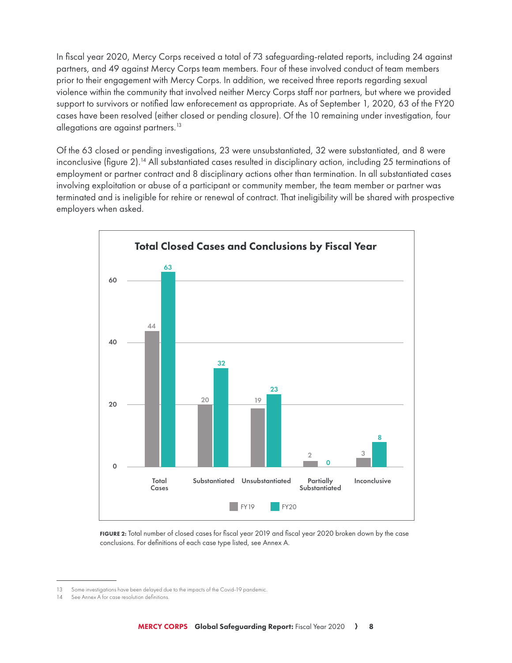In fiscal year 2020, Mercy Corps received a total of 73 safeguarding-related reports, including 24 against partners, and 49 against Mercy Corps team members. Four of these involved conduct of team members prior to their engagement with Mercy Corps. In addition, we received three reports regarding sexual violence within the community that involved neither Mercy Corps staff nor partners, but where we provided support to survivors or notified law enforecement as appropriate. As of September 1, 2020, 63 of the FY20 cases have been resolved (either closed or pending closure). Of the 10 remaining under investigation, four allegations are against partners.<sup>13</sup>

Of the 63 closed or pending investigations, 23 were unsubstantiated, 32 were substantiated, and 8 were inconclusive (figure 2).<sup>14</sup> All substantiated cases resulted in disciplinary action, including 25 terminations of employment or partner contract and 8 disciplinary actions other than termination. In all substantiated cases involving exploitation or abuse of a participant or community member, the team member or partner was terminated and is ineligible for rehire or renewal of contract. That ineligibility will be shared with prospective employers when asked.



FIGURE 2: Total number of closed cases for fiscal year 2019 and fiscal year 2020 broken down by the case conclusions. For definitions of each case type listed, see Annex A.

<sup>13</sup> Some investigations have been delayed due to the impacts of the Covid-19 pandemic.

<sup>14</sup> See Annex A for case resolution definitions.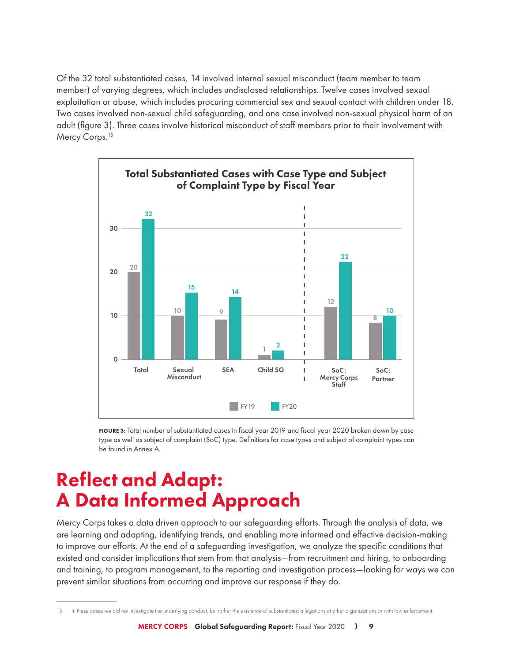Of the 32 total substantiated cases, 14 involved internal sexual misconduct (team member to team member) of varying degrees, which includes undisclosed relationships. Twelve cases involved sexual exploitation or abuse, which includes procuring commercial sex and sexual contact with children under 18. Two cases involved non-sexual child safeguarding, and one case involved non-sexual physical harm of an adult (figure 3). Three cases involve historical misconduct of staff members prior to their involvement with Mercy Corps.<sup>15</sup>



FIGURE 3: Total number of substantiated cases in fiscal year 2019 and fiscal year 2020 broken down by case type as well as subject of complaint (SoC) type. Definitions for case types and subject of complaint types can be found in Annex A.

### Reflect and Adapt: A Data Informed Approach

Mercy Corps takes a data driven approach to our safeguarding efforts. Through the analysis of data, we are learning and adapting, identifying trends, and enabling more informed and effective decision-making to improve our efforts. At the end of a safeguarding investigation, we analyze the specific conditions that existed and consider implications that stem from that analysis—from recruitment and hiring, to onboarding and training, to program management, to the reporting and investigation process—looking for ways we can prevent similar situations from occurring and improve our response if they do.

<sup>15</sup> In these cases we did not investigate the underlying conduct, but rather the existence of substantiated allegations at other organizations or with law enforcement.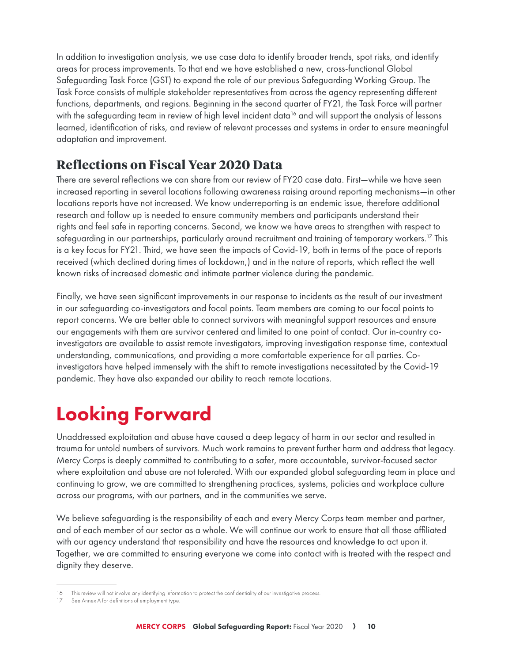In addition to investigation analysis, we use case data to identify broader trends, spot risks, and identify areas for process improvements. To that end we have established a new, cross-functional Global Safeguarding Task Force (GST) to expand the role of our previous Safeguarding Working Group. The Task Force consists of multiple stakeholder representatives from across the agency representing different functions, departments, and regions. Beginning in the second quarter of FY21, the Task Force will partner with the safeguarding team in review of high level incident data<sup>16</sup> and will support the analysis of lessons learned, identification of risks, and review of relevant processes and systems in order to ensure meaningful adaptation and improvement.

#### **Reflections on Fiscal Year 2020 Data**

There are several reflections we can share from our review of FY20 case data. First—while we have seen increased reporting in several locations following awareness raising around reporting mechanisms—in other locations reports have not increased. We know underreporting is an endemic issue, therefore additional research and follow up is needed to ensure community members and participants understand their rights and feel safe in reporting concerns. Second, we know we have areas to strengthen with respect to safeguarding in our partnerships, particularly around recruitment and training of temporary workers.<sup>17</sup> This is a key focus for FY21. Third, we have seen the impacts of Covid-19, both in terms of the pace of reports received (which declined during times of lockdown,) and in the nature of reports, which reflect the well known risks of increased domestic and intimate partner violence during the pandemic.

Finally, we have seen significant improvements in our response to incidents as the result of our investment in our safeguarding co-investigators and focal points. Team members are coming to our focal points to report concerns. We are better able to connect survivors with meaningful support resources and ensure our engagements with them are survivor centered and limited to one point of contact. Our in-country coinvestigators are available to assist remote investigators, improving investigation response time, contextual understanding, communications, and providing a more comfortable experience for all parties. Coinvestigators have helped immensely with the shift to remote investigations necessitated by the Covid-19 pandemic. They have also expanded our ability to reach remote locations.

# Looking Forward

Unaddressed exploitation and abuse have caused a deep legacy of harm in our sector and resulted in trauma for untold numbers of survivors. Much work remains to prevent further harm and address that legacy. Mercy Corps is deeply committed to contributing to a safer, more accountable, survivor-focused sector where exploitation and abuse are not tolerated. With our expanded global safeguarding team in place and continuing to grow, we are committed to strengthening practices, systems, policies and workplace culture across our programs, with our partners, and in the communities we serve.

We believe safeguarding is the responsibility of each and every Mercy Corps team member and partner, and of each member of our sector as a whole. We will continue our work to ensure that all those affiliated with our agency understand that responsibility and have the resources and knowledge to act upon it. Together, we are committed to ensuring everyone we come into contact with is treated with the respect and dignity they deserve.

<sup>16</sup> This review will not involve any identifying information to protect the confidentiality of our investigative process.

See Annex A for definitions of employment type.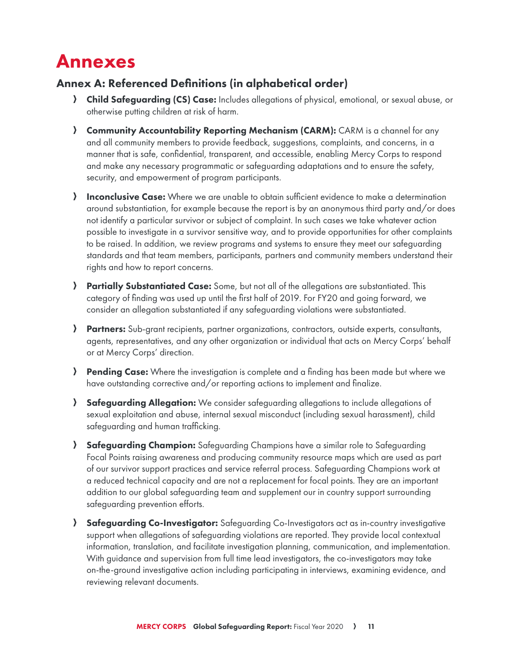### Annexes

#### Annex A: Referenced Definitions (in alphabetical order)

- **A Child Safeguarding (CS) Case:** Includes allegations of physical, emotional, or sexual abuse, or otherwise putting children at risk of harm.
- A Community Accountability Reporting Mechanism (CARM): CARM is a channel for any and all community members to provide feedback, suggestions, complaints, and concerns, in a manner that is safe, confidential, transparent, and accessible, enabling Mercy Corps to respond and make any necessary programmatic or safeguarding adaptations and to ensure the safety, security, and empowerment of program participants.
- **A Inconclusive Case:** Where we are unable to obtain sufficient evidence to make a determination around substantiation, for example because the report is by an anonymous third party and/or does not identify a particular survivor or subject of complaint. In such cases we take whatever action possible to investigate in a survivor sensitive way, and to provide opportunities for other complaints to be raised. In addition, we review programs and systems to ensure they meet our safeguarding standards and that team members, participants, partners and community members understand their rights and how to report concerns.
- A Partially Substantiated Case: Some, but not all of the allegations are substantiated. This category of finding was used up until the first half of 2019. For FY20 and going forward, we consider an allegation substantiated if any safeguarding violations were substantiated.
- A Partners: Sub-grant recipients, partner organizations, contractors, outside experts, consultants, agents, representatives, and any other organization or individual that acts on Mercy Corps' behalf or at Mercy Corps' direction.
- **A Pending Case:** Where the investigation is complete and a finding has been made but where we have outstanding corrective and/or reporting actions to implement and finalize.
- A Safeguarding Allegation: We consider safeguarding allegations to include allegations of sexual exploitation and abuse, internal sexual misconduct (including sexual harassment), child safeguarding and human trafficking.
- A Safeguarding Champion: Safeguarding Champions have a similar role to Safeguarding Focal Points raising awareness and producing community resource maps which are used as part of our survivor support practices and service referral process. Safeguarding Champions work at a reduced technical capacity and are not a replacement for focal points. They are an important addition to our global safeguarding team and supplement our in country support surrounding safeguarding prevention efforts.
- A Safeguarding Co-Investigator: Safeguarding Co-Investigators act as in-country investigative support when allegations of safeguarding violations are reported. They provide local contextual information, translation, and facilitate investigation planning, communication, and implementation. With guidance and supervision from full time lead investigators, the co-investigators may take on-the-ground investigative action including participating in interviews, examining evidence, and reviewing relevant documents.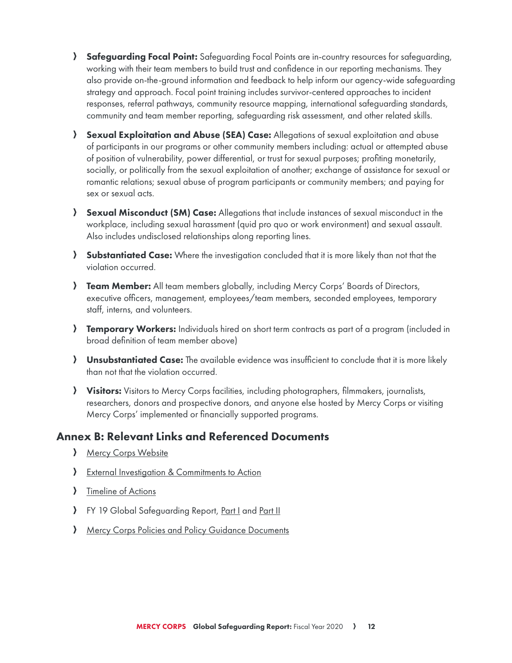- **A Safeguarding Focal Point:** Safeguarding Focal Points are in-country resources for safeguarding, working with their team members to build trust and confidence in our reporting mechanisms. They also provide on-the-ground information and feedback to help inform our agency-wide safeguarding strategy and approach. Focal point training includes survivor-centered approaches to incident responses, referral pathways, community resource mapping, international safeguarding standards, community and team member reporting, safeguarding risk assessment, and other related skills.
- A Sexual Exploitation and Abuse (SEA) Case: Allegations of sexual exploitation and abuse of participants in our programs or other community members including: actual or attempted abuse of position of vulnerability, power differential, or trust for sexual purposes; profiting monetarily, socially, or politically from the sexual exploitation of another; exchange of assistance for sexual or romantic relations; sexual abuse of program participants or community members; and paying for sex or sexual acts.
- **A Sexual Misconduct (SM) Case:** Allegations that include instances of sexual misconduct in the workplace, including sexual harassment (quid pro quo or work environment) and sexual assault. Also includes undisclosed relationships along reporting lines.
- **A Substantiated Case:** Where the investigation concluded that it is more likely than not that the violation occurred.
- **Feam Member:** All team members globally, including Mercy Corps' Boards of Directors, executive officers, management, employees/team members, seconded employees, temporary staff, interns, and volunteers.
- **Femporary Workers:** Individuals hired on short term contracts as part of a program (included in broad definition of team member above)
- **A Unsubstantiated Case:** The available evidence was insufficient to conclude that it is more likely than not that the violation occurred.
- **Yisitors:** Visitors to Mercy Corps facilities, including photographers, filmmakers, journalists, researchers, donors and prospective donors, and anyone else hosted by Mercy Corps or visiting Mercy Corps' implemented or financially supported programs.

#### Annex B: Relevant Links and Referenced Documents

- **A** Mercy Corps Website
- > External Investigation & Commitments to Action
- > Timeline of Actions
- > FY 19 Global Safeguarding Report, Part I and Part II
- A Mercy Corps Policies and Policy Guidance Documents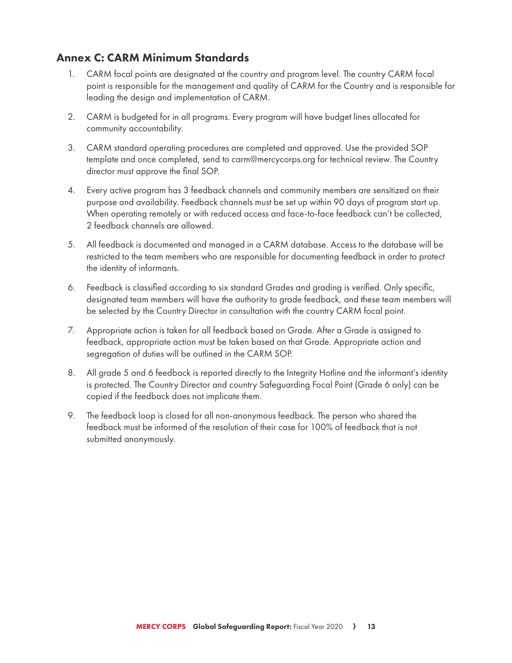#### Annex C: CARM Minimum Standards

- 1. CARM focal points are designated at the country and program level. The country CARM focal point is responsible for the management and quality of CARM for the Country and is responsible for leading the design and implementation of CARM.
- 2. CARM is budgeted for in all programs. Every program will have budget lines allocated for community accountability.
- 3. CARM standard operating procedures are completed and approved. Use the provided SOP template and once completed, send to carm@mercycorps.org for technical review. The Country director must approve the final SOP.
- 4. Every active program has 3 feedback channels and community members are sensitized on their purpose and availability. Feedback channels must be set up within 90 days of program start up. When operating remotely or with reduced access and face-to-face feedback can't be collected, 2 feedback channels are allowed.
- 5. All feedback is documented and managed in a CARM database. Access to the database will be restricted to the team members who are responsible for documenting feedback in order to protect the identity of informants.
- 6. Feedback is classified according to six standard Grades and grading is verified. Only specific, designated team members will have the authority to grade feedback, and these team members will be selected by the Country Director in consultation with the country CARM focal point.
- 7. Appropriate action is taken for all feedback based on Grade. After a Grade is assigned to feedback, appropriate action must be taken based on that Grade. Appropriate action and segregation of duties will be outlined in the CARM SOP.
- 8. All grade 5 and 6 feedback is reported directly to the Integrity Hotline and the informant's identity is protected. The Country Director and country Safeguarding Focal Point (Grade 6 only) can be copied if the feedback does not implicate them.
- 9. The feedback loop is closed for all non-anonymous feedback. The person who shared the feedback must be informed of the resolution of their case for 100% of feedback that is not submitted anonymously.